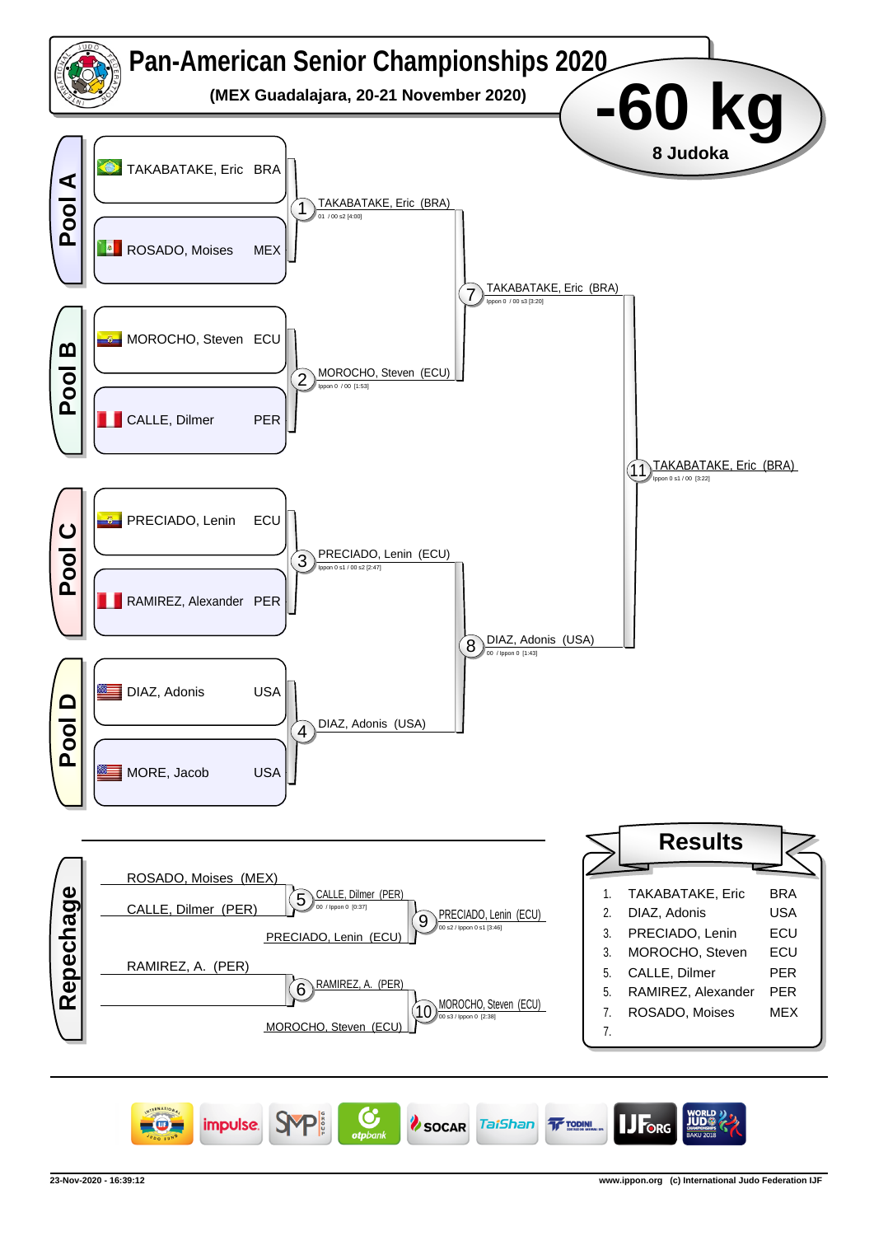

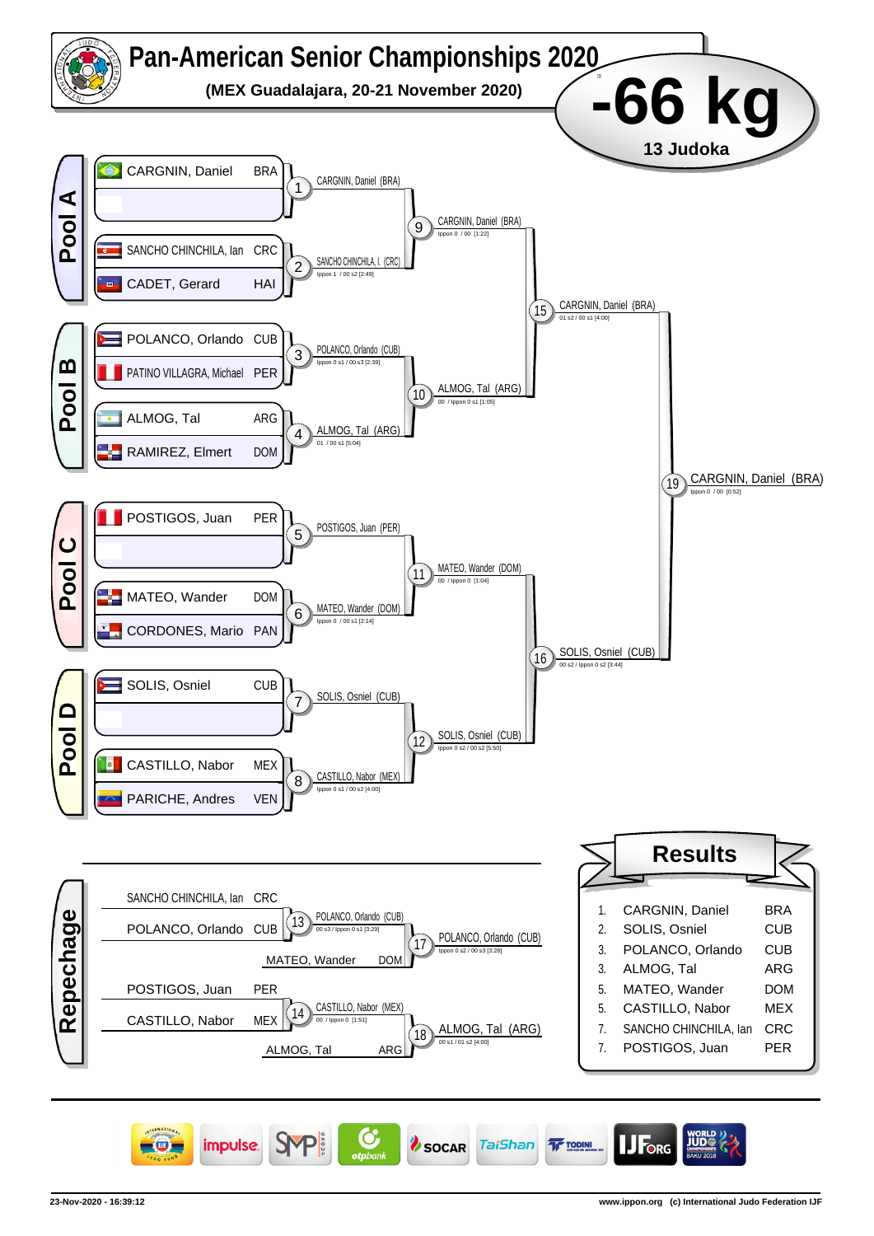

![](_page_1_Picture_1.jpeg)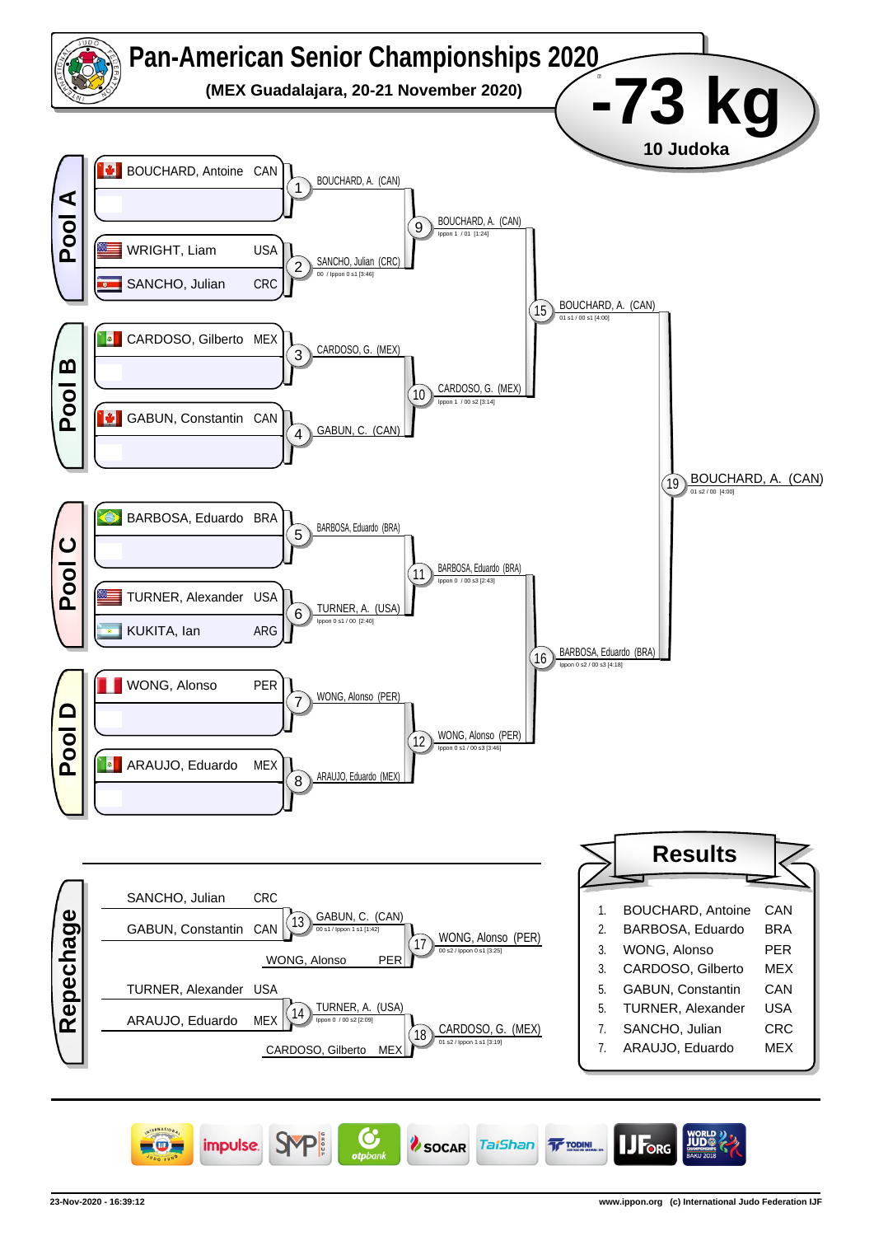![](_page_2_Figure_0.jpeg)

![](_page_2_Picture_1.jpeg)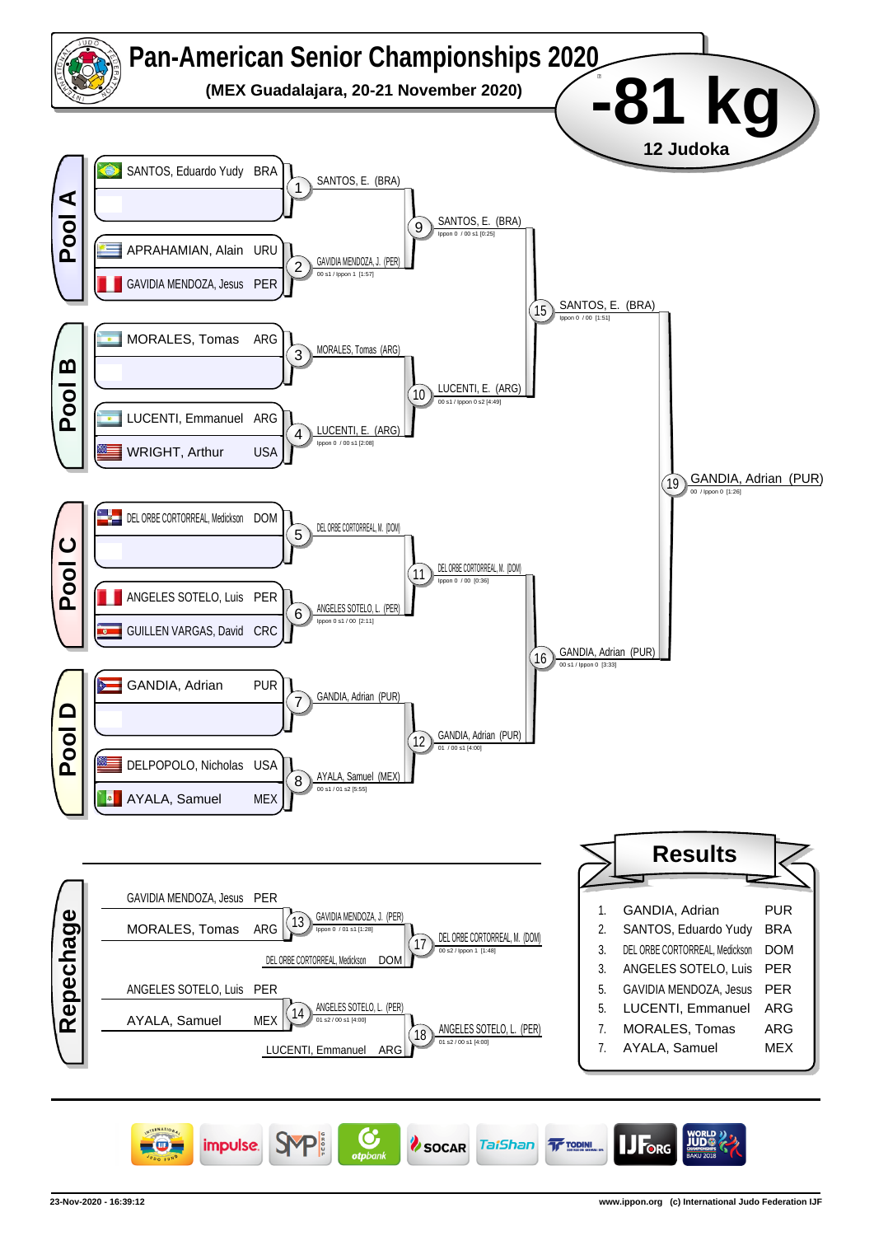![](_page_3_Figure_0.jpeg)

![](_page_3_Picture_1.jpeg)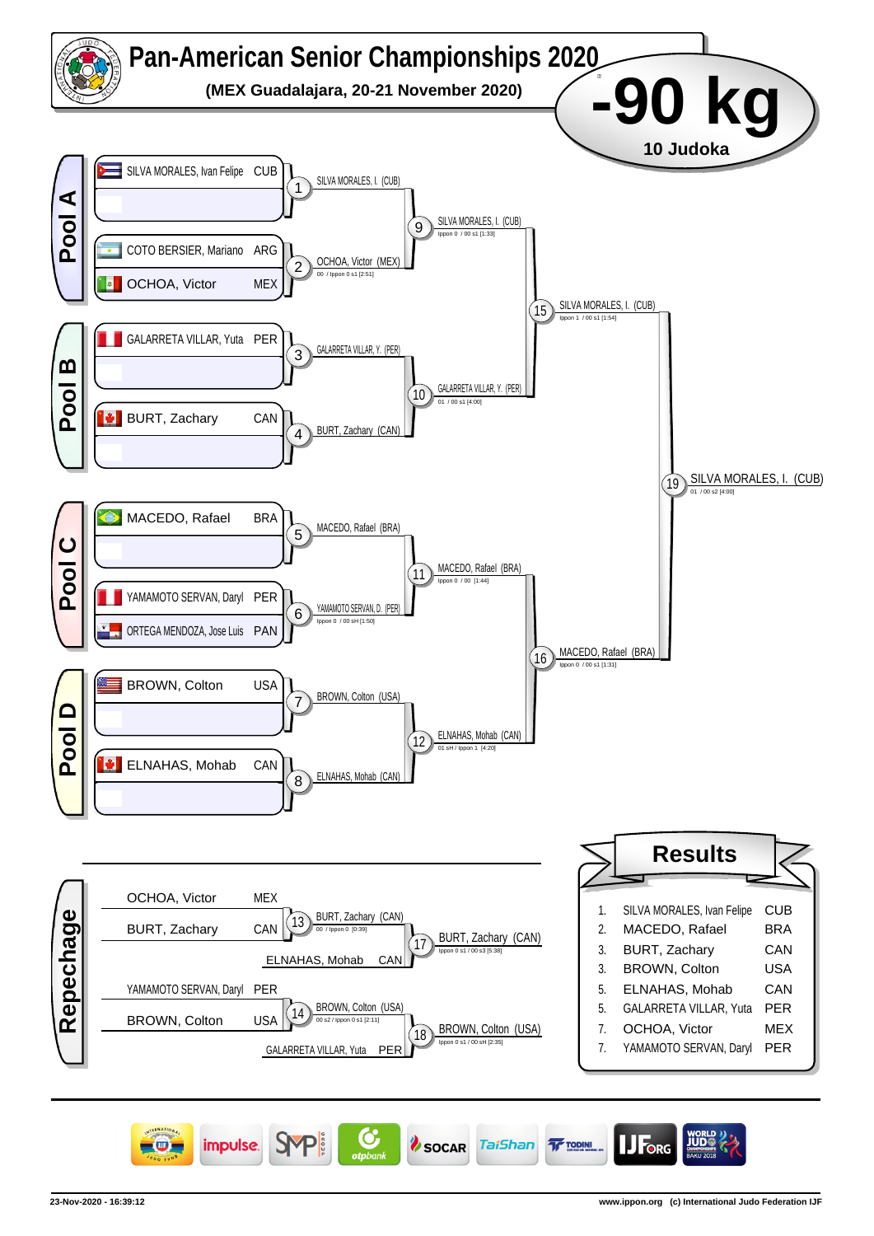![](_page_4_Figure_0.jpeg)

![](_page_4_Picture_1.jpeg)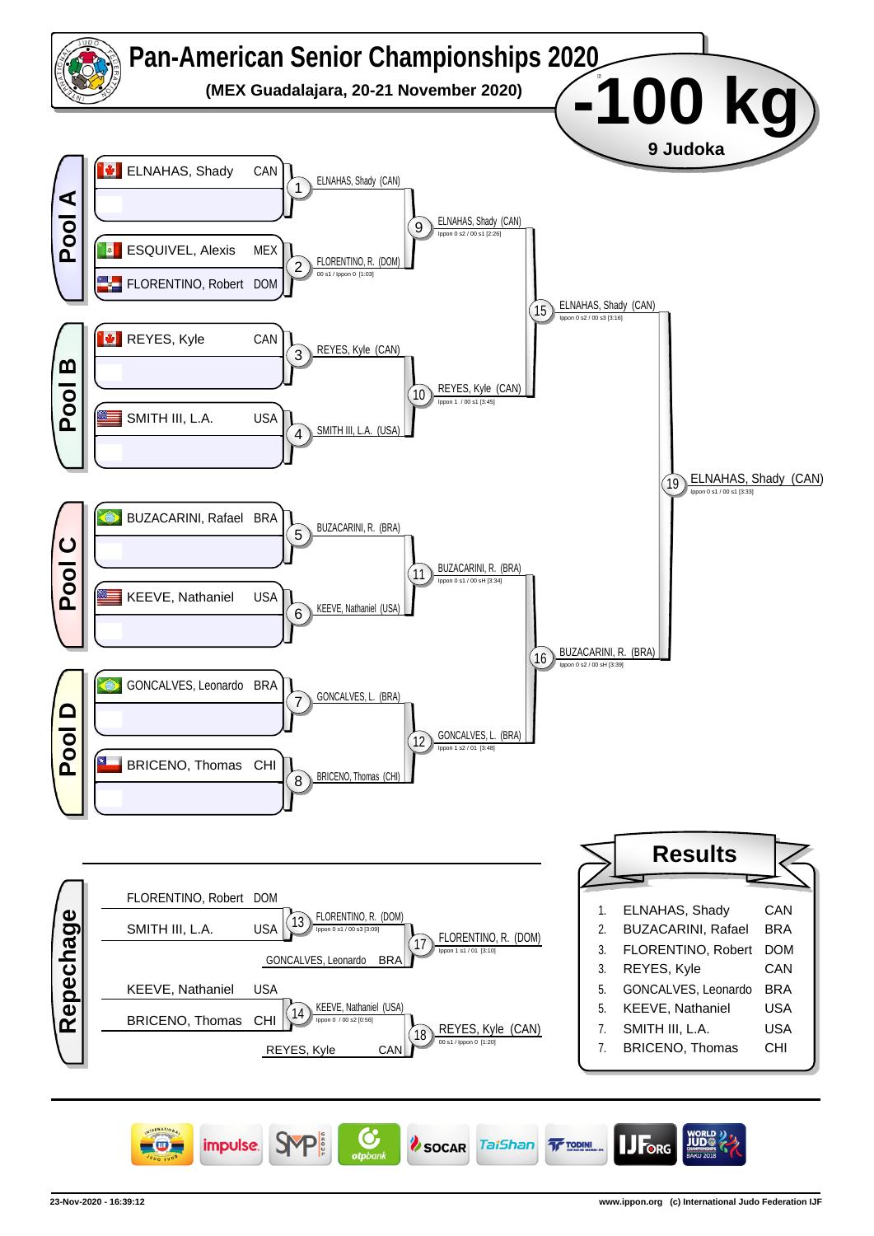![](_page_5_Figure_0.jpeg)

![](_page_5_Picture_1.jpeg)